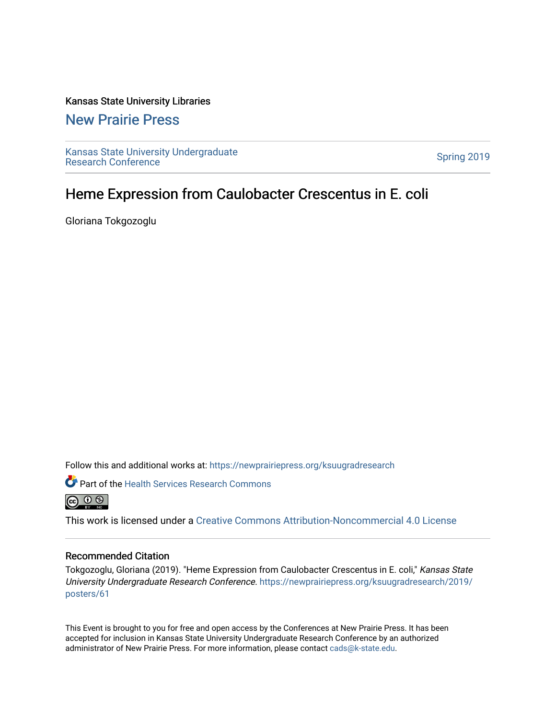### Kansas State University Libraries

### [New Prairie Press](https://newprairiepress.org/)

[Kansas State University Undergraduate](https://newprairiepress.org/ksuugradresearch)  Ransas State University Undergraduate<br>[Research Conference](https://newprairiepress.org/ksuugradresearch)

### Heme Expression from Caulobacter Crescentus in E. coli

Gloriana Tokgozoglu

Follow this and additional works at: [https://newprairiepress.org/ksuugradresearch](https://newprairiepress.org/ksuugradresearch?utm_source=newprairiepress.org%2Fksuugradresearch%2F2019%2Fposters%2F61&utm_medium=PDF&utm_campaign=PDFCoverPages) 



Part of the [Health Services Research Commons](http://network.bepress.com/hgg/discipline/816?utm_source=newprairiepress.org%2Fksuugradresearch%2F2019%2Fposters%2F61&utm_medium=PDF&utm_campaign=PDFCoverPages) 



This work is licensed under a [Creative Commons Attribution-Noncommercial 4.0 License](https://creativecommons.org/licenses/by-nc/4.0/)

### Recommended Citation

Tokgozoglu, Gloriana (2019). "Heme Expression from Caulobacter Crescentus in E. coli," Kansas State University Undergraduate Research Conference. [https://newprairiepress.org/ksuugradresearch/2019/](https://newprairiepress.org/ksuugradresearch/2019/posters/61) [posters/61](https://newprairiepress.org/ksuugradresearch/2019/posters/61) 

This Event is brought to you for free and open access by the Conferences at New Prairie Press. It has been accepted for inclusion in Kansas State University Undergraduate Research Conference by an authorized administrator of New Prairie Press. For more information, please contact [cads@k-state.edu](mailto:cads@k-state.edu).